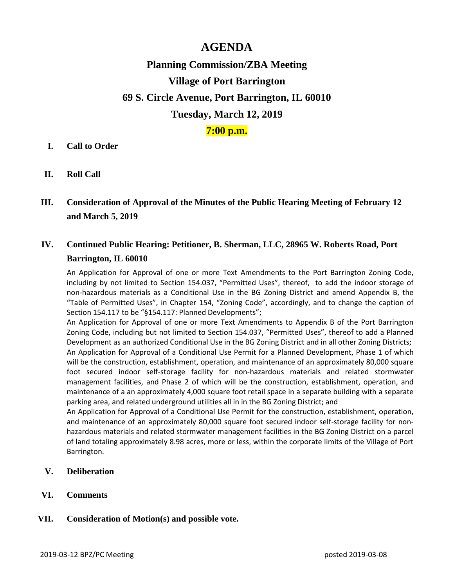## **AGENDA**

# **Planning Commission/ZBA Meeting Village of Port Barrington 69 S. Circle Avenue, Port Barrington, IL 60010 Tuesday, March 12, 2019**

### **7:00 p.m.**

#### **I. Call to Order**

**II. Roll Call**

### **III. Consideration of Approval of the Minutes of the Public Hearing Meeting of February 12 and March 5, 2019**

### **IV. Continued Public Hearing: Petitioner, B. Sherman, LLC, 28965 W. Roberts Road, Port Barrington, IL 60010**

An Application for Approval of one or more Text Amendments to the Port Barrington Zoning Code, including by not limited to Section 154.037, "Permitted Uses", thereof, to add the indoor storage of non-hazardous materials as a Conditional Use in the BG Zoning District and amend Appendix B, the "Table of Permitted Uses", in Chapter 154, "Zoning Code", accordingly, and to change the caption of Section 154.117 to be "§154.117: Planned Developments";

An Application for Approval of one or more Text Amendments to Appendix B of the Port Barrington Zoning Code, including but not limited to Section 154.037, "Permitted Uses", thereof to add a Planned Development as an authorized Conditional Use in the BG Zoning District and in all other Zoning Districts; An Application for Approval of a Conditional Use Permit for a Planned Development, Phase 1 of which will be the construction, establishment, operation, and maintenance of an approximately 80,000 square foot secured indoor self-storage facility for non-hazardous materials and related stormwater management facilities, and Phase 2 of which will be the construction, establishment, operation, and maintenance of a an approximately 4,000 square foot retail space in a separate building with a separate parking area, and related underground utilities all in in the BG Zoning District; and

An Application for Approval of a Conditional Use Permit for the construction, establishment, operation, and maintenance of an approximately 80,000 square foot secured indoor self-storage facility for nonhazardous materials and related stormwater management facilities in the BG Zoning District on a parcel of land totaling approximately 8.98 acres, more or less, within the corporate limits of the Village of Port Barrington.

- **V. Deliberation**
- **VI. Comments**

#### **VII. Consideration of Motion(s) and possible vote.**